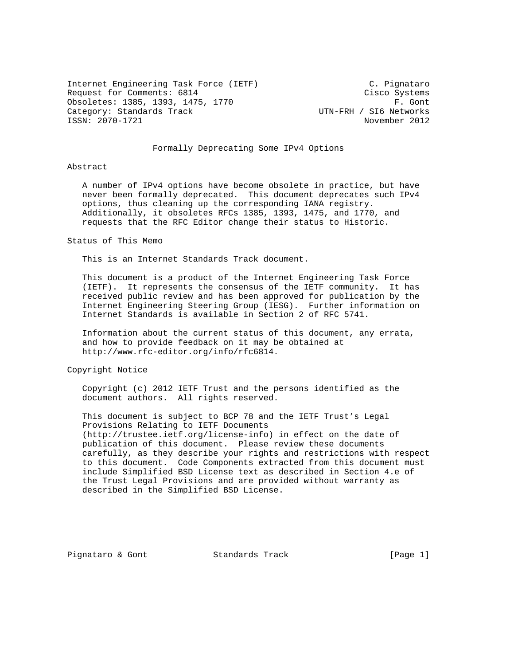Internet Engineering Task Force (IETF) C. Pignataro Request for Comments: 6814 Cisco Systems Obsoletes: 1385, 1393, 1475, 1770<br>Category: Standards Track Frack Frack Frack Frack Frack Frack Frack Frack Frack Frack Category: Standards Track UTN-FRH / SI6 Networks<br>ISSN: 2070-1721 Movember 2012 ISSN: 2070-1721

# Formally Deprecating Some IPv4 Options

#### Abstract

 A number of IPv4 options have become obsolete in practice, but have never been formally deprecated. This document deprecates such IPv4 options, thus cleaning up the corresponding IANA registry. Additionally, it obsoletes RFCs 1385, 1393, 1475, and 1770, and requests that the RFC Editor change their status to Historic.

#### Status of This Memo

This is an Internet Standards Track document.

 This document is a product of the Internet Engineering Task Force (IETF). It represents the consensus of the IETF community. It has received public review and has been approved for publication by the Internet Engineering Steering Group (IESG). Further information on Internet Standards is available in Section 2 of RFC 5741.

 Information about the current status of this document, any errata, and how to provide feedback on it may be obtained at http://www.rfc-editor.org/info/rfc6814.

Copyright Notice

 Copyright (c) 2012 IETF Trust and the persons identified as the document authors. All rights reserved.

 This document is subject to BCP 78 and the IETF Trust's Legal Provisions Relating to IETF Documents (http://trustee.ietf.org/license-info) in effect on the date of publication of this document. Please review these documents carefully, as they describe your rights and restrictions with respect to this document. Code Components extracted from this document must include Simplified BSD License text as described in Section 4.e of the Trust Legal Provisions and are provided without warranty as described in the Simplified BSD License.

Pignataro & Gont Standards Track [Page 1]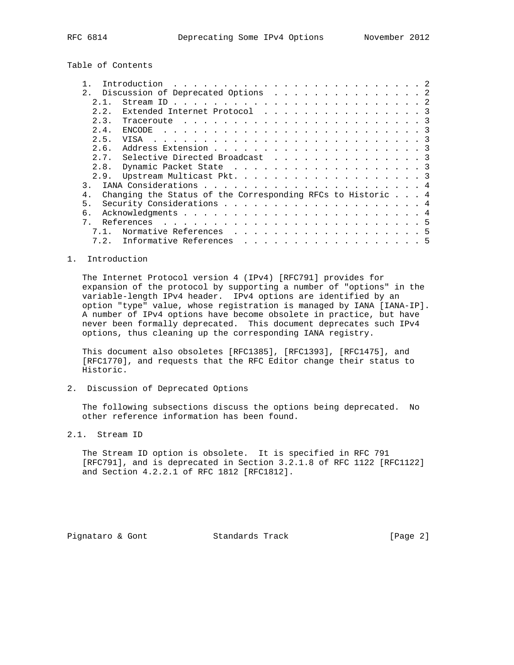Table of Contents

|                                                                               | Introduction                       |  |  |  |  |  |  |  |
|-------------------------------------------------------------------------------|------------------------------------|--|--|--|--|--|--|--|
| 2.1                                                                           | Discussion of Deprecated Options 2 |  |  |  |  |  |  |  |
| 2.1.                                                                          |                                    |  |  |  |  |  |  |  |
| 2.2.                                                                          | Extended Internet Protocol 3       |  |  |  |  |  |  |  |
| 2.3.                                                                          |                                    |  |  |  |  |  |  |  |
| 2.4.                                                                          |                                    |  |  |  |  |  |  |  |
| 2.5.                                                                          |                                    |  |  |  |  |  |  |  |
| 2.6.                                                                          |                                    |  |  |  |  |  |  |  |
| 2.7.                                                                          | Selective Directed Broadcast 3     |  |  |  |  |  |  |  |
| 2.8.                                                                          | Dynamic Packet State 3             |  |  |  |  |  |  |  |
| 2.9.                                                                          | Upstream Multicast Pkt. 3          |  |  |  |  |  |  |  |
|                                                                               |                                    |  |  |  |  |  |  |  |
| Changing the Status of the Corresponding RFCs to Historic $\ldots$ 4<br>$4$ . |                                    |  |  |  |  |  |  |  |
| 5.                                                                            |                                    |  |  |  |  |  |  |  |
| б.                                                                            |                                    |  |  |  |  |  |  |  |
| $7^{\circ}$                                                                   |                                    |  |  |  |  |  |  |  |
|                                                                               | Normative References 5             |  |  |  |  |  |  |  |
| 7.2.                                                                          | Informative References 5           |  |  |  |  |  |  |  |

## 1. Introduction

 The Internet Protocol version 4 (IPv4) [RFC791] provides for expansion of the protocol by supporting a number of "options" in the variable-length IPv4 header. IPv4 options are identified by an option "type" value, whose registration is managed by IANA [IANA-IP]. A number of IPv4 options have become obsolete in practice, but have never been formally deprecated. This document deprecates such IPv4 options, thus cleaning up the corresponding IANA registry.

 This document also obsoletes [RFC1385], [RFC1393], [RFC1475], and [RFC1770], and requests that the RFC Editor change their status to Historic.

2. Discussion of Deprecated Options

 The following subsections discuss the options being deprecated. No other reference information has been found.

2.1. Stream ID

 The Stream ID option is obsolete. It is specified in RFC 791 [RFC791], and is deprecated in Section 3.2.1.8 of RFC 1122 [RFC1122] and Section 4.2.2.1 of RFC 1812 [RFC1812].

Pignataro & Gont **Standards Track** [Page 2]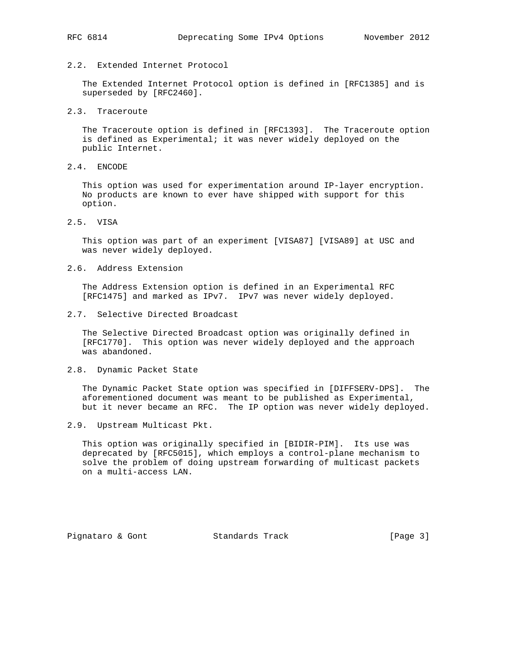# 2.2. Extended Internet Protocol

 The Extended Internet Protocol option is defined in [RFC1385] and is superseded by [RFC2460].

# 2.3. Traceroute

 The Traceroute option is defined in [RFC1393]. The Traceroute option is defined as Experimental; it was never widely deployed on the public Internet.

2.4. ENCODE

 This option was used for experimentation around IP-layer encryption. No products are known to ever have shipped with support for this option.

2.5. VISA

 This option was part of an experiment [VISA87] [VISA89] at USC and was never widely deployed.

2.6. Address Extension

 The Address Extension option is defined in an Experimental RFC [RFC1475] and marked as IPv7. IPv7 was never widely deployed.

2.7. Selective Directed Broadcast

 The Selective Directed Broadcast option was originally defined in [RFC1770]. This option was never widely deployed and the approach was abandoned.

2.8. Dynamic Packet State

 The Dynamic Packet State option was specified in [DIFFSERV-DPS]. The aforementioned document was meant to be published as Experimental, but it never became an RFC. The IP option was never widely deployed.

2.9. Upstream Multicast Pkt.

 This option was originally specified in [BIDIR-PIM]. Its use was deprecated by [RFC5015], which employs a control-plane mechanism to solve the problem of doing upstream forwarding of multicast packets on a multi-access LAN.

Pignataro & Gont **Standards Track** [Page 3]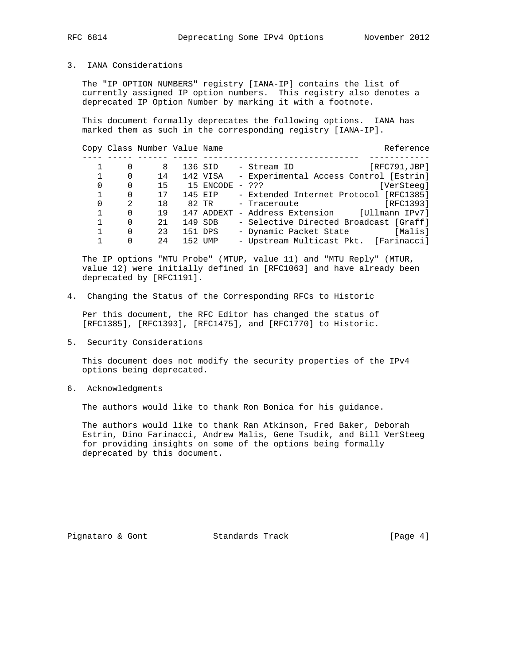3. IANA Considerations

 The "IP OPTION NUMBERS" registry [IANA-IP] contains the list of currently assigned IP option numbers. This registry also denotes a deprecated IP Option Number by marking it with a footnote.

 This document formally deprecates the following options. IANA has marked them as such in the corresponding registry [IANA-IP].

### Copy Class Number Value Name Reference

|          |               | 8  | 136 SID         | [RFC791,JBP]<br>- Stream ID                   |
|----------|---------------|----|-----------------|-----------------------------------------------|
|          | $\Omega$      | 14 | 142 VISA        | - Experimental Access Control [Estrin]        |
| $\Omega$ |               | 15 | 15 ENCODE - ??? | [VerSteeq]                                    |
|          | $\Omega$      | 17 | 145 EIP         | - Extended Internet Protocol [RFC1385]        |
| $\Omega$ | $\mathcal{L}$ | 18 |                 | [RFC1393]<br>82 TR        - Traceroute        |
|          | $\Omega$      | 19 |                 | 147 ADDEXT - Address Extension [Ullmann IPv7] |
|          | $\Omega$      | 21 | 149 SDB         | - Selective Directed Broadcast [Graff]        |
|          | $\Omega$      | 23 | 151 DPS         | - Dynamic Packet State [Malis]                |
|          |               | 24 | 152 UMP         | - Upstream Multicast Pkt. [Farinacci]         |

 The IP options "MTU Probe" (MTUP, value 11) and "MTU Reply" (MTUR, value 12) were initially defined in [RFC1063] and have already been deprecated by [RFC1191].

4. Changing the Status of the Corresponding RFCs to Historic

 Per this document, the RFC Editor has changed the status of [RFC1385], [RFC1393], [RFC1475], and [RFC1770] to Historic.

5. Security Considerations

 This document does not modify the security properties of the IPv4 options being deprecated.

6. Acknowledgments

The authors would like to thank Ron Bonica for his guidance.

 The authors would like to thank Ran Atkinson, Fred Baker, Deborah Estrin, Dino Farinacci, Andrew Malis, Gene Tsudik, and Bill VerSteeg for providing insights on some of the options being formally deprecated by this document.

Pignataro & Gont Standards Track [Page 4]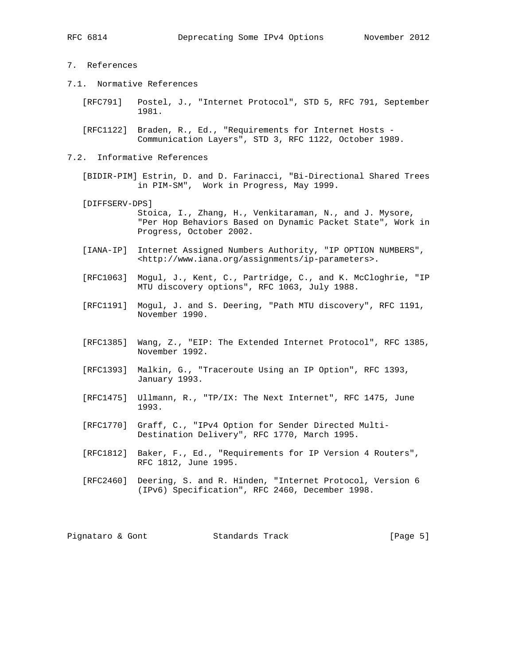# 7. References

- 7.1. Normative References
	- [RFC791] Postel, J., "Internet Protocol", STD 5, RFC 791, September 1981.
	- [RFC1122] Braden, R., Ed., "Requirements for Internet Hosts Communication Layers", STD 3, RFC 1122, October 1989.

### 7.2. Informative References

- [BIDIR-PIM] Estrin, D. and D. Farinacci, "Bi-Directional Shared Trees in PIM-SM", Work in Progress, May 1999.
- [DIFFSERV-DPS] Stoica, I., Zhang, H., Venkitaraman, N., and J. Mysore, "Per Hop Behaviors Based on Dynamic Packet State", Work in Progress, October 2002.
- [IANA-IP] Internet Assigned Numbers Authority, "IP OPTION NUMBERS", <http://www.iana.org/assignments/ip-parameters>.
- [RFC1063] Mogul, J., Kent, C., Partridge, C., and K. McCloghrie, "IP MTU discovery options", RFC 1063, July 1988.
- [RFC1191] Mogul, J. and S. Deering, "Path MTU discovery", RFC 1191, November 1990.
- [RFC1385] Wang, Z., "EIP: The Extended Internet Protocol", RFC 1385, November 1992.
- [RFC1393] Malkin, G., "Traceroute Using an IP Option", RFC 1393, January 1993.
- [RFC1475] Ullmann, R., "TP/IX: The Next Internet", RFC 1475, June 1993.
- [RFC1770] Graff, C., "IPv4 Option for Sender Directed Multi- Destination Delivery", RFC 1770, March 1995.
- [RFC1812] Baker, F., Ed., "Requirements for IP Version 4 Routers", RFC 1812, June 1995.
- [RFC2460] Deering, S. and R. Hinden, "Internet Protocol, Version 6 (IPv6) Specification", RFC 2460, December 1998.

Pignataro & Gont **Standards Track** [Page 5]